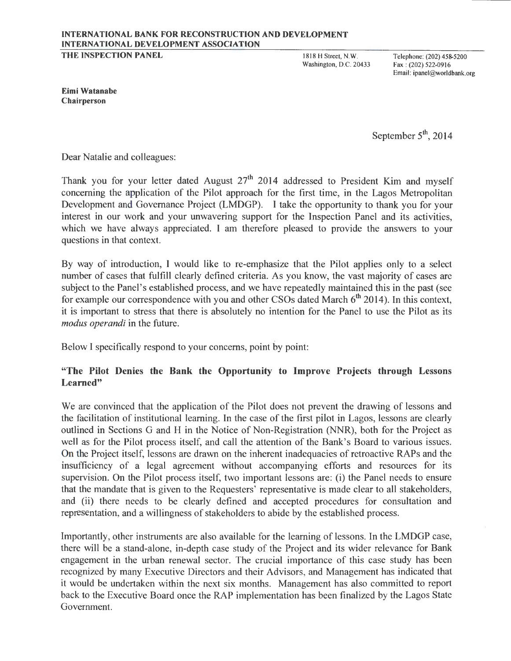# INTERNATIONAL BANK FOR RECONSTRUCTION AND DEVELOPMENT INTERNATIONAL DEVELOPMENT ASSOCIATION

THE INSPECTION PANEL

1818 H Street, N.W. Washington, D.C. 20433

Telephone: (202) 458-5200 Fax : (202) 522-0916 Email: ipanel@worldbank.org

Eimi Watanabe Chairperson

September  $5<sup>th</sup>$ , 2014

Dear Natalie and colleagues:

Thank you for your letter dated August  $27<sup>th</sup>$  2014 addressed to President Kim and myself concerning the application of the Pilot approach for the first time, in the Lagos Metropolitan Development and Governance Project (LMDGP). I take the opportunity to thank you for your interest in our work and your unwavering support for the Inspection Panel and its activities, which we have always appreciated. I am therefore pleased to provide the answers to your questions in that context.

By way of introduction, I would like to re-emphasize that the Pilot applies only to a select number of cases that fulfill clearly defined criteria. As you know, the vast majority of cases are subject to the Panel's established process, and we have repeatedly maintained this in the past (see for example our correspondence with you and other CSOs dated March  $6<sup>th</sup>$  2014). In this context, it is important to stress that there is absolutely no intention for the Panel to use the Pilot as its *modus operandi* in the future.

Below I specifically respond to your concerns, point by point:

# "The Pilot Denies the Bank the Opportunity to Improve Projects through Lessons Learned"

We are convinced that the application of the Pilot does not prevent the drawing of lessons and the facilitation of institutional learning. In the case of the first pilot in Lagos, lessons are clearly outlined in Sections G and H in the Notice of Non-Registration (NNR), both for the Project as well as for the Pilot process itself, and call the attention of the Bank's Board to various issues. On the Project itself, lessons are drawn on the inherent inadequacies of retroactive RAPs and the insufficiency of a legal agreement without accompanying efforts and resources for its supervision. On the Pilot process itself, two important lessons are: (i) the Panel needs to ensure that the mandate that is given to the Requesters' representative is made clear to all stakeholders, and (ii) there needs to be clearly defined and accepted procedures for consultation and representation, and a willingness of stakeholders to abide by the established process.

Importantly, other instruments are also available for the learning of lessons. In the LMDGP case, there will be a stand-alone, in-depth case study of the Project and its wider relevance for Bank engagement in the urban renewal sector. The crucial importance of this case study has been recognized by many Executive Directors and their Advisors, and Management has indicated that it would be undertaken within the next six months. Management has also committed to report back to the Executive Board once the RAP implementation has been finalized by the Lagos State Government.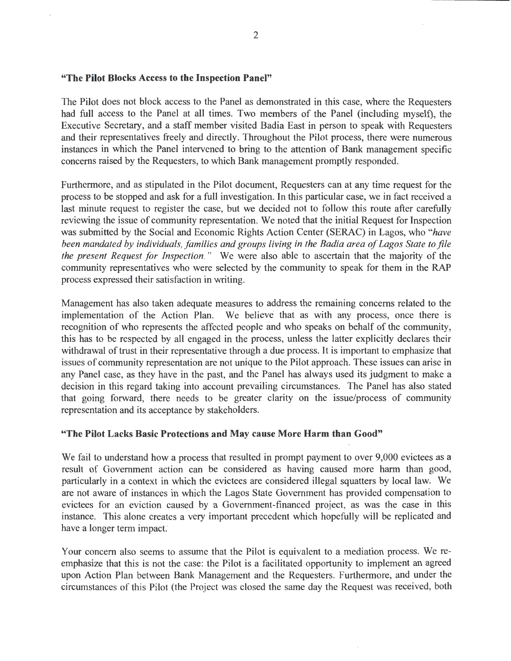#### "The Pilot Blocks Access to the Inspection Panel"

The Pilot does not block access to the Panel as demonstrated in this case, where the Requesters had full access to the Panel at all times. Two members of the Panel (including myself), the Executive Secretary, and a staff member visited Badia East in person to speak with Requesters and their representatives freely and directly. Throughout the Pilot process, there were numerous instances in which the Panel intervened to bring to the attention of Bank management specific concerns raised by the Requesters, to which Bank management promptly responded.

Furthermore, and as stipulated in the Pilot document, Requesters can at any time request for the process to be stopped and ask for a full investigation. In this particular case, we in fact received a last minute request to register the case, but we decided not to follow this route after carefully reviewing the issue of community representation. We noted that the initial Request for Inspection was submitted by the Social and Economic Rights Action Center (SERAC) in Lagos, who *"have been mandated by individuals, families and groups living in the Badia area of Lagos State to file the present Request for Inspection. "* We were also able to ascertain that the majority of the community representatives who were selected by the community to speak for them in the RAP process expressed their satisfaction in writing.

Management has also taken adequate measures to address the remaining concerns related to the implementation of the Action Plan. We believe that as with any process, once there is recognition of who represents the affected people and who speaks on behalf of the community, this has to be respected by all engaged in the process, unless the latter explicitly declares their withdrawal of trust in their representative through a due process. It is important to emphasize that issues of community representation are not unique to the Pilot approach. These issues can arise in any Panel case, as they have in the past, and the Panel has always used its judgment to make a decision in this regard taking into account prevailing circumstances. The Panel has also stated that going forward, there needs to be greater clarity on the issue/process of community representation and its acceptance by stakeholders.

### "The Pilot Lacks Basic Protections and May cause More Harm than Good"

We fail to understand how a process that resulted in prompt payment to over 9,000 evictees as a result of Government action can be considered as having caused more harm than good, particularly in a context in which the evictees are considered illegal squatters by local law. We are not aware of instances in which the Lagos State Government has provided compensation to evictees for an eviction caused by a Government-financed project, as was the case in this instance. This alone creates a very important precedent which hopefully will be replicated and have a longer term impact:

Your concern also seems to assume that the Pilot is equivalent to a mediation process. We reemphasize that this is not the case: the Pilot is a facilitated opportunity to implement an agreed upon Action Plan between Bank Management and the Requesters. Furthermore, and under the circumstances of this Pilot (the Project was closed the same day the Request was received, both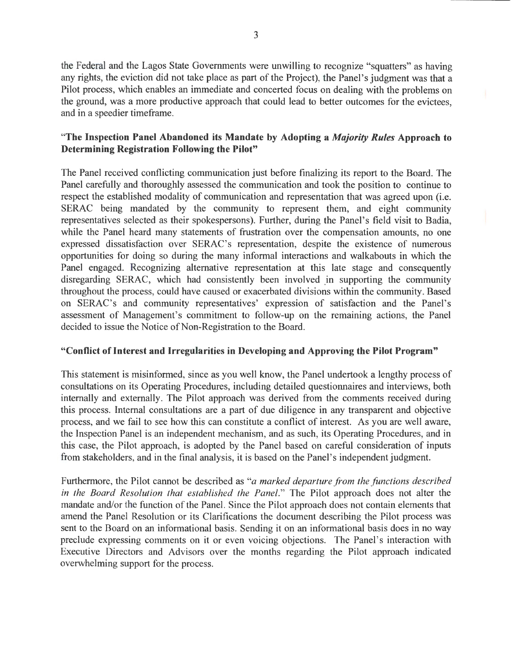3

the Federal and the Lagos State Governments were unwilling to recognize "squatters" as having any rights, the eviction did not take place as part of the Project), the Panel's judgment was that a Pilot process, which enables an immediate and concerted focus on dealing with the problems on the ground, was a more productive approach that could lead to better outcomes for the evictees, and in a speedier timeframe.

# **"The Inspection Panel Abandoned its Mandate by Adopting a** *Majority Rules* **Approach to Determining Registration Following the Pilot"**

The Panel received conflicting communication just before finalizing its report to the Board. The Panel carefully and thoroughly assessed the communication and took the position to continue to respect the established modality of communication and representation that was agreed upon (i.e. SERAC being mandated by the community to represent them, and eight community representatives selected as their spokespersons). Further, during the Panel's field visit to Badia, while the Panel heard many statements of frustration over the compensation amounts, no one expressed dissatisfaction over SERAC's representation, despite the existence of numerous opportunities for doing so during the many informal interactions and walkabouts in which the Panel engaged. Recognizing alternative representation at this late stage and consequently disregarding SERAC, which had consistently been involved in supporting the community throughout the process, could have caused or exacerbated divisions within the community. Based on SERAC's and community representatives' expression of satisfaction and the Panel's assessment of Management's commitment to follow-up on the remaining actions, the Panel decided to issue the Notice of Non-Registration to the Board.

# **"Conflict of Interest and Irregularities in Developing and Approving the Pilot Program"**

This statement is misinformed, since as you well know, the Panel undertook a lengthy process of consultations on its Operating Procedures, including detailed questionnaires and interviews, both internally and externally. The Pilot approach was derived from the comments received during this process. Internal consultations are a part of due diligence in any transparent and objective process, and we fail to see how this can constitute a conflict of interest. As you are well aware, the Inspection Panel is an independent mechanism, and as such, its Operating Procedures, and in this case, the Pilot approach, is adopted by the Panel based on careful consideration of inputs from stakeholders, and in the final analysis, it is based on the Panel's independent judgment.

Furthermore, the Pilot cannot be described as *"a marked departure from the functions described in the Board Resolution that established the Panel."* The Pilot approach does not alter the mandate and/or the function of the Panel. Since the Pilot approach does not contain elements that amend the Panel Resolution or its Clarifications the document describing the Pilot process was sent to the Board on an informational basis. Sending it on an informational basis does in no way preclude expressing comments on it or even voicing objections. The Panel's interaction with Executive Directors and Advisors over the months regarding the Pilot approach indicated overwhelming support for the process.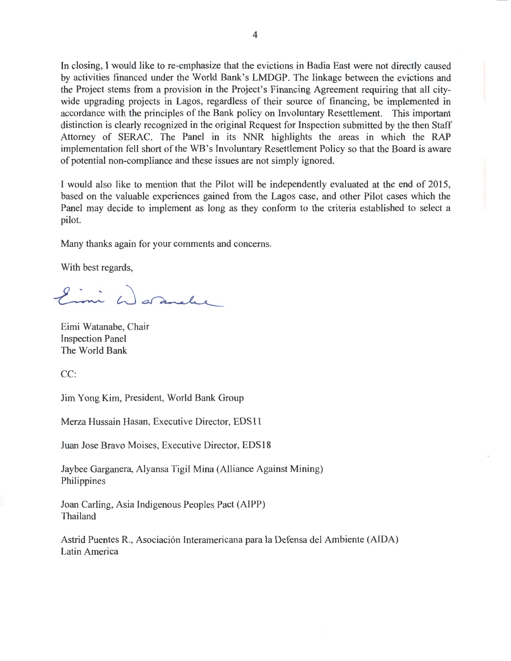In closing, I would like to re-emphasize that the evictions in Badia East were not directly caused by activities financed under the World Bank's LMDGP. The linkage between the evictions and the Project stems from a provision in the Project's Financing Agreement requiring that all citywide upgrading projects in Lagos, regardless of their source of financing, be implemented in accordance with the principles of the Bank policy on Involuntary Resettlement. This important distinction is clearly recognized in the original Request for Inspection submitted by the then Staff Attorney of. SERAC. The Panel in its NNR highlights the areas in which the RAP implementation fell short of the WB's Involuntary Resettlement Policy so that the Board is aware of potential non-compliance and these issues are not simply ignored.

I would also like to mention that the Pilot will be independently evaluated at the end of 2015, based on the valuable experiences gained from the Lagos case, and other Pilot cases which the Panel may decide to implement as long as they conform to the criteria established to select a pilot.

Many thanks again for your comments and concerns.

With best regards,

Eimi G Saranelee

Eimi Watanabe, Chair Inspection Panel The World Bank

CC:

Jim Yong Kim, President, World Bank Group

Merza Hussain Hasan, Executive Director, EDS 11

Juan Jose Bravo Moises, Executive Director, EDS 18

Jaybee Garganera, Alyansa Tigil Mina (Alliance Against Mining) Philippines

Joan Carling, Asia Indigenous Peoples Pact (AIPP) Thailand

Astrid Puentes R., Asociación Interamericana para la Defensa del Ambiente (AIDA) Latin America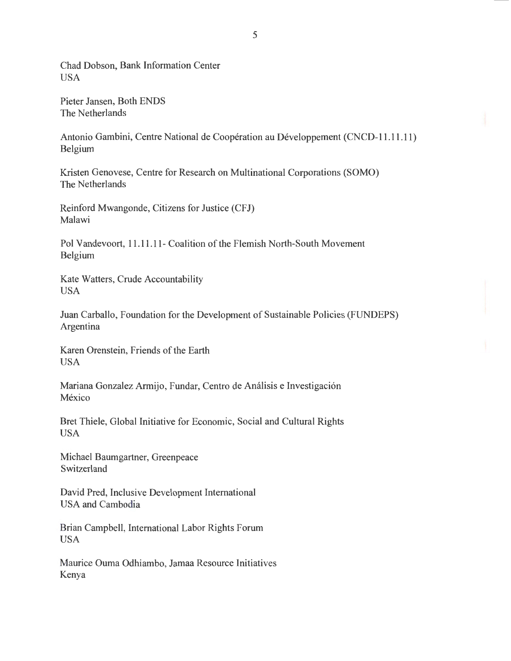Chad Dobson, Bank Information Center USA

Pieter Jansen, Both ENDS The Netherlands

Antonio Gambini, Centre National de Coopération au Développement (CNCD-11.11.11) Belgium

Kristen Genovese, Centre for Research on Multinational Corporations (SOMO) The Netherlands

Reinford Mwangonde, Citizens for Justice (CFJ) Malawi

Pol Vandevoort, 11.11.11- Coalition of the Flemish North-South Movement Belgium

Kate Watters, Crude Accountability USA

Juan Carballo, Foundation for the Development of Sustainable Policies (FUNDEPS) Argentina

Karen Orenstein, Friends of the Earth USA

Mariana Gonzalez Armijo, Fundar, Centro de Análisis e Investigación México

Bret Thiele, Global Initiative for Economic, Social and Cultural Rights USA

Michael Baumgartner, Greenpeace Switzerland

David Pred, Inclusive Development International USA and Cambodia

Brian Campbell, International Labor Rights Forum USA

Maurice Ouma Odhiambo, Jamaa Resource Initiatives Kenya